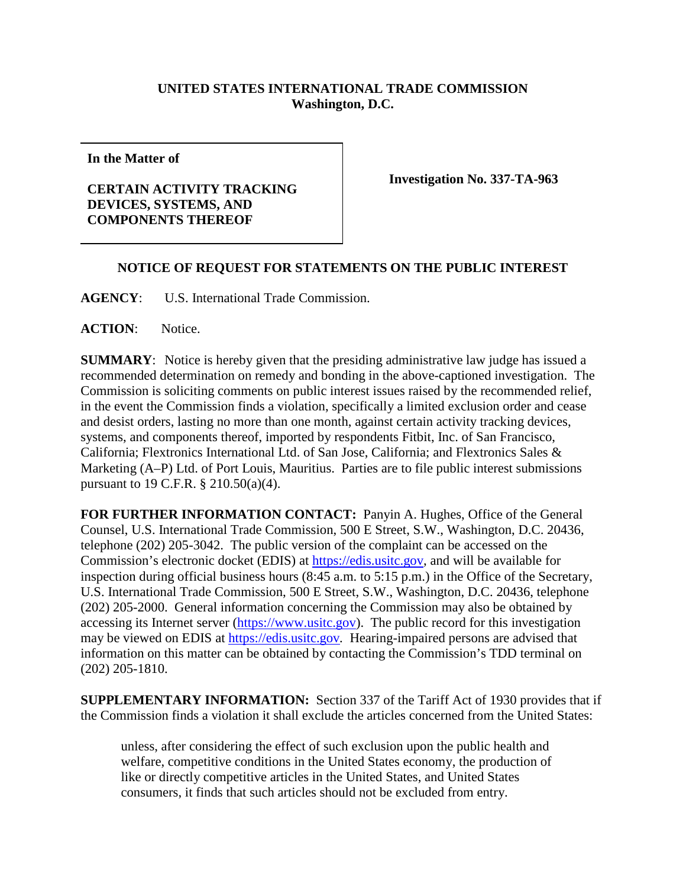## **UNITED STATES INTERNATIONAL TRADE COMMISSION Washington, D.C.**

**In the Matter of**

## **CERTAIN ACTIVITY TRACKING DEVICES, SYSTEMS, AND COMPONENTS THEREOF**

**Investigation No. 337-TA-963**

## **NOTICE OF REQUEST FOR STATEMENTS ON THE PUBLIC INTEREST**

**AGENCY**: U.S. International Trade Commission.

**ACTION**: Notice.

**SUMMARY**: Notice is hereby given that the presiding administrative law judge has issued a recommended determination on remedy and bonding in the above-captioned investigation. The Commission is soliciting comments on public interest issues raised by the recommended relief, in the event the Commission finds a violation, specifically a limited exclusion order and cease and desist orders, lasting no more than one month, against certain activity tracking devices, systems, and components thereof, imported by respondents Fitbit, Inc. of San Francisco, California; Flextronics International Ltd. of San Jose, California; and Flextronics Sales & Marketing (A–P) Ltd. of Port Louis, Mauritius. Parties are to file public interest submissions pursuant to 19 C.F.R. § 210.50(a)(4).

**FOR FURTHER INFORMATION CONTACT:** Panyin A. Hughes, Office of the General Counsel, U.S. International Trade Commission, 500 E Street, S.W., Washington, D.C. 20436, telephone (202) 205-3042. The public version of the complaint can be accessed on the Commission's electronic docket (EDIS) at [https://edis.usitc.gov,](https://edis.usitc.gov/) and will be available for inspection during official business hours (8:45 a.m. to 5:15 p.m.) in the Office of the Secretary, U.S. International Trade Commission, 500 E Street, S.W., Washington, D.C. 20436, telephone (202) 205-2000. General information concerning the Commission may also be obtained by accessing its Internet server [\(https://www.usitc.gov\)](https://www.usitc.gov/). The public record for this investigation may be viewed on EDIS at [https://edis.usitc.gov](https://edis.usitc.gov/)*.* Hearing-impaired persons are advised that information on this matter can be obtained by contacting the Commission's TDD terminal on (202) 205-1810.

**SUPPLEMENTARY INFORMATION:** Section 337 of the Tariff Act of 1930 provides that if the Commission finds a violation it shall exclude the articles concerned from the United States:

unless, after considering the effect of such exclusion upon the public health and welfare, competitive conditions in the United States economy, the production of like or directly competitive articles in the United States, and United States consumers, it finds that such articles should not be excluded from entry.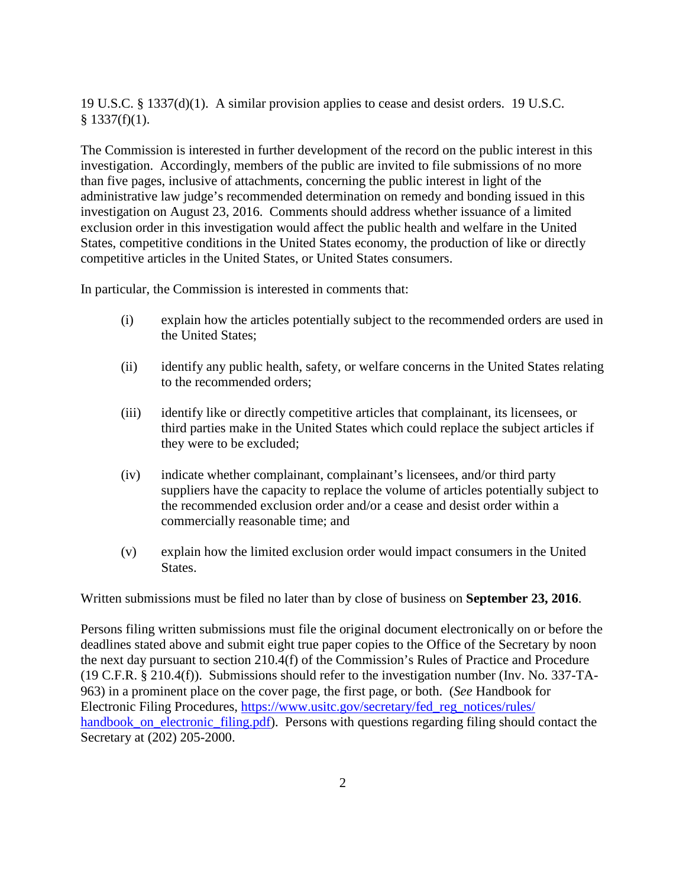19 U.S.C. § 1337(d)(1). A similar provision applies to cease and desist orders. 19 U.S.C.  $§$  1337(f)(1).

The Commission is interested in further development of the record on the public interest in this investigation. Accordingly, members of the public are invited to file submissions of no more than five pages, inclusive of attachments, concerning the public interest in light of the administrative law judge's recommended determination on remedy and bonding issued in this investigation on August 23, 2016. Comments should address whether issuance of a limited exclusion order in this investigation would affect the public health and welfare in the United States, competitive conditions in the United States economy, the production of like or directly competitive articles in the United States, or United States consumers.

In particular, the Commission is interested in comments that:

- (i) explain how the articles potentially subject to the recommended orders are used in the United States;
- (ii) identify any public health, safety, or welfare concerns in the United States relating to the recommended orders;
- (iii) identify like or directly competitive articles that complainant, its licensees, or third parties make in the United States which could replace the subject articles if they were to be excluded;
- (iv) indicate whether complainant, complainant's licensees, and/or third party suppliers have the capacity to replace the volume of articles potentially subject to the recommended exclusion order and/or a cease and desist order within a commercially reasonable time; and
- (v) explain how the limited exclusion order would impact consumers in the United States.

Written submissions must be filed no later than by close of business on **September 23, 2016**.

Persons filing written submissions must file the original document electronically on or before the deadlines stated above and submit eight true paper copies to the Office of the Secretary by noon the next day pursuant to section 210.4(f) of the Commission's Rules of Practice and Procedure (19 C.F.R. § 210.4(f)). Submissions should refer to the investigation number (Inv. No. 337-TA-963) in a prominent place on the cover page, the first page, or both. (*See* Handbook for Electronic Filing Procedures, [https://www.usitc.gov/secretary/fed\\_reg\\_notices/rules/](https://www.usitc.gov/secretary/fed_reg_notices/rules/%0bhandbook_on_electronic_filing.pdf) handbook on electronic filing.pdf). Persons with questions regarding filing should contact the Secretary at (202) 205-2000.